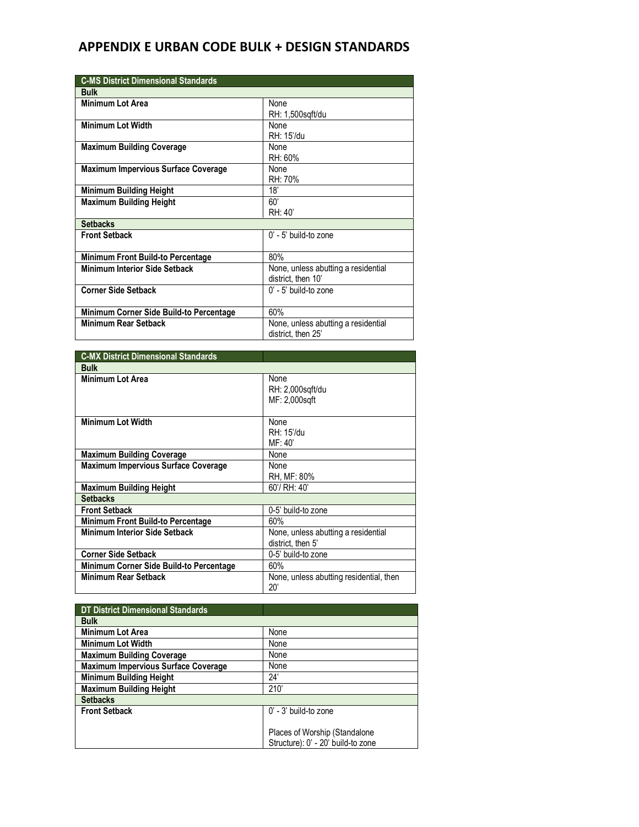| <b>C-MS District Dimensional Standards</b> |                                     |
|--------------------------------------------|-------------------------------------|
| <b>Bulk</b>                                |                                     |
| <b>Minimum Lot Area</b>                    | None                                |
|                                            | RH: 1,500sqft/du                    |
| <b>Minimum Lot Width</b>                   | None                                |
|                                            | RH: 15'/du                          |
| <b>Maximum Building Coverage</b>           | None                                |
|                                            | RH: 60%                             |
| <b>Maximum Impervious Surface Coverage</b> | None                                |
|                                            | RH: 70%                             |
| <b>Minimum Building Height</b>             | 18'                                 |
| <b>Maximum Building Height</b>             | 60'                                 |
|                                            | RH: 40'                             |
| <b>Setbacks</b>                            |                                     |
| <b>Front Setback</b>                       | $0'$ - 5' build-to zone             |
|                                            |                                     |
| Minimum Front Build-to Percentage          | 80%                                 |
| <b>Minimum Interior Side Setback</b>       | None, unless abutting a residential |
|                                            | district, then 10'                  |
| <b>Corner Side Setback</b>                 | $0'$ - 5' build-to zone             |
|                                            |                                     |
| Minimum Corner Side Build-to Percentage    | 60%                                 |
| <b>Minimum Rear Setback</b>                | None, unless abutting a residential |
|                                            | district, then 25'                  |

| <b>C-MX District Dimensional Standards</b> |                                                          |
|--------------------------------------------|----------------------------------------------------------|
| <b>Bulk</b>                                |                                                          |
| Minimum Lot Area                           | None<br>RH: 2,000sqft/du<br>MF: 2,000sqft                |
| <b>Minimum Lot Width</b>                   | None<br>RH: 15'/du<br>MF:40'                             |
| <b>Maximum Building Coverage</b>           | None                                                     |
| <b>Maximum Impervious Surface Coverage</b> | None<br>RH, MF: 80%                                      |
| Maximum Building Height                    | 60'/ RH: 40'                                             |
| <b>Setbacks</b>                            |                                                          |
| <b>Front Setback</b>                       | 0-5' build-to zone                                       |
| Minimum Front Build-to Percentage          | 60%                                                      |
| <b>Minimum Interior Side Setback</b>       | None, unless abutting a residential<br>district, then 5' |
| Corner Side Setback                        | 0-5' build-to zone                                       |
| Minimum Corner Side Build-to Percentage    | 60%                                                      |
| Minimum Rear Setback                       | None, unless abutting residential, then<br>$20^{\circ}$  |

| DT District Dimensional Standards   |                                    |
|-------------------------------------|------------------------------------|
| <b>Bulk</b>                         |                                    |
| <b>Minimum Lot Area</b>             | None                               |
| Minimum Lot Width                   | None                               |
| <b>Maximum Building Coverage</b>    | None                               |
| Maximum Impervious Surface Coverage | None                               |
| <b>Minimum Building Height</b>      | 24'                                |
| <b>Maximum Building Height</b>      | 210'                               |
| <b>Setbacks</b>                     |                                    |
| <b>Front Setback</b>                | 0' - 3' build-to zone              |
|                                     |                                    |
|                                     | Places of Worship (Standalone      |
|                                     | Structure): 0' - 20' build-to zone |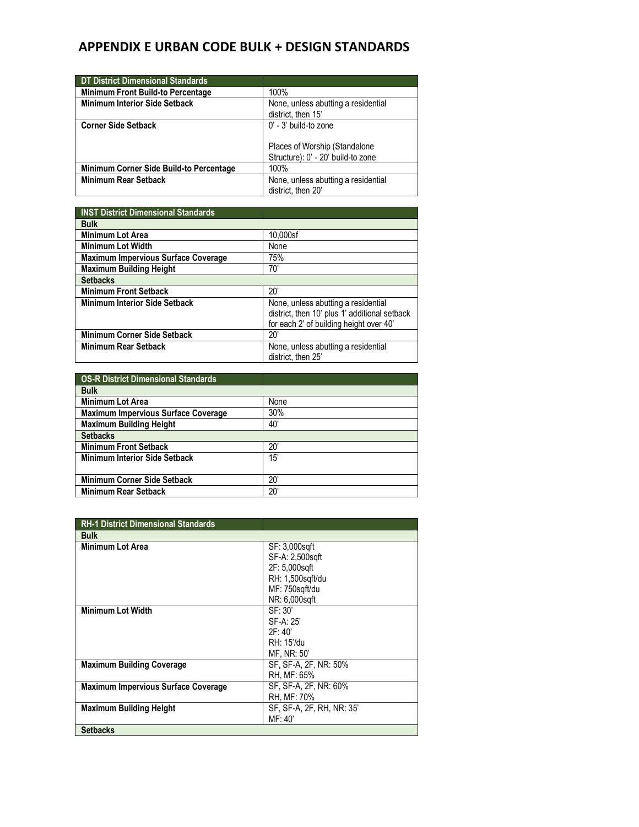| <b>DT District Dimensional Standards</b> |                                                           |
|------------------------------------------|-----------------------------------------------------------|
| <b>Minimum Front Build-to Percentage</b> | 100%                                                      |
| <b>Minimum Interior Side Setback</b>     | None, unless abutting a residential<br>district, then 15' |
| <b>Corner Side Setback</b>               | $0'$ - 3' build-to zone                                   |
|                                          | Places of Worship (Standalone                             |
|                                          | Structure): 0' - 20' build-to zone                        |
| Minimum Corner Side Build-to Percentage  | 100%                                                      |
| <b>Minimum Rear Setback</b>              | None, unless abutting a residential<br>district, then 20' |

| <b>INST District Dimensional Standards</b> |                                                                                                                                 |
|--------------------------------------------|---------------------------------------------------------------------------------------------------------------------------------|
| <b>Bulk</b>                                |                                                                                                                                 |
| <b>Minimum Lot Area</b>                    | 10,000sf                                                                                                                        |
| <b>Minimum Lot Width</b>                   | None                                                                                                                            |
| <b>Maximum Impervious Surface Coverage</b> | 75%                                                                                                                             |
| <b>Maximum Building Height</b>             | 70'                                                                                                                             |
| <b>Setbacks</b>                            |                                                                                                                                 |
| <b>Minimum Front Setback</b>               | 20'                                                                                                                             |
| <b>Minimum Interior Side Setback</b>       | None, unless abutting a residential<br>district, then 10' plus 1' additional setback<br>for each 2' of building height over 40' |
| <b>Minimum Corner Side Setback</b>         | 20'                                                                                                                             |
| <b>Minimum Rear Setback</b>                | None, unless abutting a residential<br>district, then 25'                                                                       |

| <b>OS-R District Dimensional Standards</b> |              |
|--------------------------------------------|--------------|
| <b>Bulk</b>                                |              |
| <b>Minimum Lot Area</b>                    | None         |
| <b>Maximum Impervious Surface Coverage</b> | 30%          |
| <b>Maximum Building Height</b>             | 40'          |
| <b>Setbacks</b>                            |              |
| <b>Minimum Front Setback</b>               | $20^{\circ}$ |
| <b>Minimum Interior Side Setback</b>       | 15'          |
|                                            |              |
| <b>Minimum Corner Side Setback</b>         | $20^{\circ}$ |
| <b>Minimum Rear Setback</b>                | $20^{\circ}$ |

| <b>RH-1 District Dimensional Standards</b> |                           |
|--------------------------------------------|---------------------------|
| <b>Bulk</b>                                |                           |
| <b>Minimum Lot Area</b>                    | SF: 3,000sqft             |
|                                            | SF-A: 2,500sqft           |
|                                            | 2F: 5,000sqft             |
|                                            | RH: 1,500sqft/du          |
|                                            | MF: 750sqft/du            |
|                                            | NR: 6,000sqft             |
| <b>Minimum Lot Width</b>                   | SF: 30'                   |
|                                            | $SF-A:25'$                |
|                                            | 2F:40'                    |
|                                            | RH: 15'/du                |
|                                            | MF, NR: 50'               |
| <b>Maximum Building Coverage</b>           | SF, SF-A, 2F, NR: 50%     |
|                                            | RH, MF: 65%               |
| <b>Maximum Impervious Surface Coverage</b> | SF, SF-A, 2F, NR: 60%     |
|                                            | RH. MF: 70%               |
| <b>Maximum Building Height</b>             | SF, SF-A, 2F, RH, NR: 35' |
|                                            | MF: 40'                   |
| <b>Setbacks</b>                            |                           |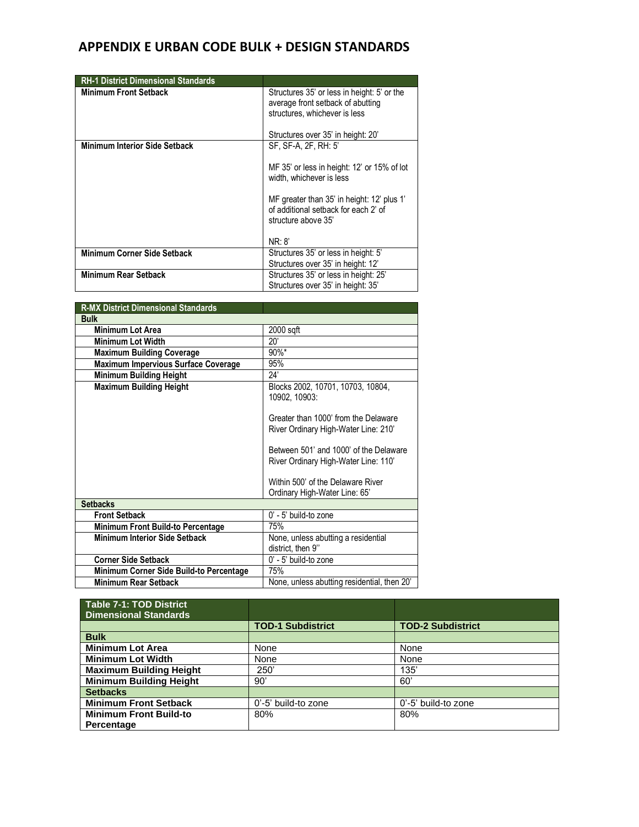| <b>RH-1 District Dimensional Standards</b> |                                                                                                                                                         |
|--------------------------------------------|---------------------------------------------------------------------------------------------------------------------------------------------------------|
| <b>Minimum Front Setback</b>               | Structures 35' or less in height: 5' or the<br>average front setback of abutting<br>structures, whichever is less<br>Structures over 35' in height: 20' |
| <b>Minimum Interior Side Setback</b>       | SF, SF-A, 2F, RH: 5'                                                                                                                                    |
|                                            | MF 35' or less in height: 12' or 15% of lot<br>width, whichever is less                                                                                 |
|                                            | MF greater than 35' in height: 12' plus 1'<br>of additional setback for each 2' of<br>structure above 35'                                               |
|                                            | NR: 8'                                                                                                                                                  |
| Minimum Corner Side Setback                | Structures 35' or less in height: 5'                                                                                                                    |
|                                            | Structures over 35' in height: 12'                                                                                                                      |
| <b>Minimum Rear Setback</b>                | Structures 35' or less in height: 25'                                                                                                                   |
|                                            | Structures over 35' in height: 35'                                                                                                                      |

| <b>R-MX District Dimensional Standards</b> |                                                                                |
|--------------------------------------------|--------------------------------------------------------------------------------|
| <b>Bulk</b>                                |                                                                                |
| <b>Minimum Lot Area</b>                    | 2000 sqft                                                                      |
| <b>Minimum Lot Width</b>                   | 20'                                                                            |
| <b>Maximum Building Coverage</b>           | $90\%$ *                                                                       |
| Maximum Impervious Surface Coverage        | 95%                                                                            |
| <b>Minimum Building Height</b>             | 24'                                                                            |
| <b>Maximum Building Height</b>             | Blocks 2002, 10701, 10703, 10804,<br>10902, 10903:                             |
|                                            | Greater than 1000' from the Delaware<br>River Ordinary High-Water Line: 210'   |
|                                            | Between 501' and 1000' of the Delaware<br>River Ordinary High-Water Line: 110' |
|                                            | Within 500' of the Delaware River<br>Ordinary High-Water Line: 65'             |
| <b>Setbacks</b>                            |                                                                                |
| <b>Front Setback</b>                       | 0' - 5' build-to zone                                                          |
| <b>Minimum Front Build-to Percentage</b>   | 75%                                                                            |
| <b>Minimum Interior Side Setback</b>       | None, unless abutting a residential<br>district, then 9"                       |
| <b>Corner Side Setback</b>                 | 0' - 5' build-to zone                                                          |
| Minimum Corner Side Build-to Percentage    | 75%                                                                            |
| Minimum Rear Setback                       | None, unless abutting residential, then 20'                                    |

| <b>Table 7-1: TOD District</b><br><b>Dimensional Standards</b> |                          |                          |
|----------------------------------------------------------------|--------------------------|--------------------------|
|                                                                | <b>TOD-1 Subdistrict</b> | <b>TOD-2 Subdistrict</b> |
| <b>Bulk</b>                                                    |                          |                          |
| <b>Minimum Lot Area</b>                                        | None                     | None                     |
| <b>Minimum Lot Width</b>                                       | None                     | None                     |
| <b>Maximum Building Height</b>                                 | 250'                     | 135'                     |
| <b>Minimum Building Height</b>                                 | 90'                      | 60'                      |
| <b>Setbacks</b>                                                |                          |                          |
| <b>Minimum Front Setback</b>                                   | 0'-5' build-to zone      | 0'-5' build-to zone      |
| <b>Minimum Front Build-to</b>                                  | 80%                      | 80%                      |
| Percentage                                                     |                          |                          |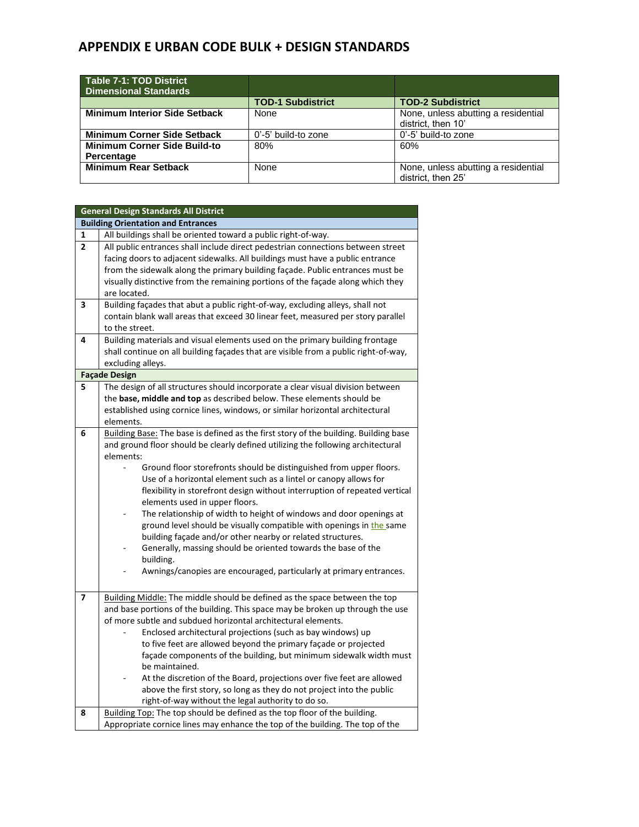| Table 7-1: TOD District<br><b>Dimensional Standards</b> |                          |                                                           |
|---------------------------------------------------------|--------------------------|-----------------------------------------------------------|
|                                                         | <b>TOD-1 Subdistrict</b> | <b>TOD-2 Subdistrict</b>                                  |
| <b>Minimum Interior Side Setback</b>                    | None                     | None, unless abutting a residential<br>district, then 10' |
| <b>Minimum Corner Side Setback</b>                      | 0'-5' build-to zone      | 0'-5' build-to zone                                       |
| <b>Minimum Corner Side Build-to</b><br>Percentage       | 80%                      | 60%                                                       |
| <b>Minimum Rear Setback</b>                             | None                     | None, unless abutting a residential<br>district. then 25' |

|                | <b>General Design Standards All District</b>                                                                                                    |
|----------------|-------------------------------------------------------------------------------------------------------------------------------------------------|
|                | <b>Building Orientation and Entrances</b>                                                                                                       |
| 1              | All buildings shall be oriented toward a public right-of-way.                                                                                   |
| $\overline{2}$ | All public entrances shall include direct pedestrian connections between street                                                                 |
|                | facing doors to adjacent sidewalks. All buildings must have a public entrance                                                                   |
|                | from the sidewalk along the primary building façade. Public entrances must be                                                                   |
|                | visually distinctive from the remaining portions of the façade along which they                                                                 |
|                | are located.                                                                                                                                    |
| 3              | Building façades that abut a public right-of-way, excluding alleys, shall not                                                                   |
|                | contain blank wall areas that exceed 30 linear feet, measured per story parallel                                                                |
|                | to the street.                                                                                                                                  |
| 4              | Building materials and visual elements used on the primary building frontage                                                                    |
|                | shall continue on all building façades that are visible from a public right-of-way,                                                             |
|                | excluding alleys.                                                                                                                               |
|                | <b>Façade Design</b>                                                                                                                            |
| 5              | The design of all structures should incorporate a clear visual division between                                                                 |
|                | the base, middle and top as described below. These elements should be                                                                           |
|                | established using cornice lines, windows, or similar horizontal architectural                                                                   |
|                | elements.                                                                                                                                       |
| 6              | Building Base: The base is defined as the first story of the building. Building base                                                            |
|                | and ground floor should be clearly defined utilizing the following architectural                                                                |
|                | elements:                                                                                                                                       |
|                | Ground floor storefronts should be distinguished from upper floors.                                                                             |
|                | Use of a horizontal element such as a lintel or canopy allows for<br>flexibility in storefront design without interruption of repeated vertical |
|                | elements used in upper floors.                                                                                                                  |
|                | The relationship of width to height of windows and door openings at                                                                             |
|                | ground level should be visually compatible with openings in the same                                                                            |
|                | building façade and/or other nearby or related structures.                                                                                      |
|                | Generally, massing should be oriented towards the base of the                                                                                   |
|                | building.                                                                                                                                       |
|                | Awnings/canopies are encouraged, particularly at primary entrances.                                                                             |
|                |                                                                                                                                                 |
| 7              | Building Middle: The middle should be defined as the space between the top                                                                      |
|                | and base portions of the building. This space may be broken up through the use                                                                  |
|                | of more subtle and subdued horizontal architectural elements.                                                                                   |
|                | Enclosed architectural projections (such as bay windows) up                                                                                     |
|                | to five feet are allowed beyond the primary façade or projected                                                                                 |
|                | façade components of the building, but minimum sidewalk width must                                                                              |
|                | be maintained.                                                                                                                                  |
|                | At the discretion of the Board, projections over five feet are allowed                                                                          |
|                | above the first story, so long as they do not project into the public                                                                           |
|                | right-of-way without the legal authority to do so.                                                                                              |
| 8              | Building Top: The top should be defined as the top floor of the building.                                                                       |
|                | Appropriate cornice lines may enhance the top of the building. The top of the                                                                   |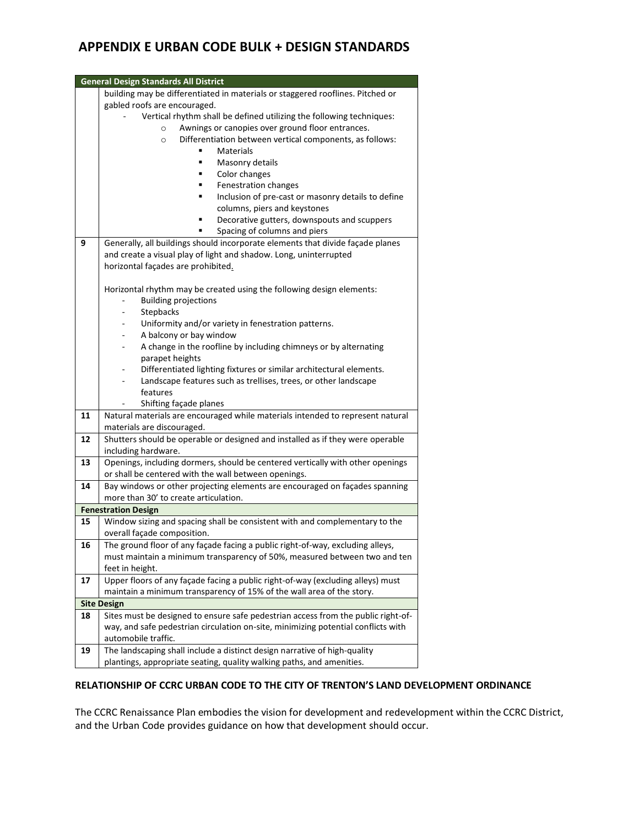| <b>General Design Standards All District</b> |                                                                                                                      |
|----------------------------------------------|----------------------------------------------------------------------------------------------------------------------|
|                                              | building may be differentiated in materials or staggered rooflines. Pitched or                                       |
|                                              | gabled roofs are encouraged.                                                                                         |
|                                              | Vertical rhythm shall be defined utilizing the following techniques:                                                 |
|                                              | Awnings or canopies over ground floor entrances.<br>$\circ$                                                          |
|                                              | Differentiation between vertical components, as follows:<br>$\circ$                                                  |
|                                              | Materials                                                                                                            |
|                                              | Masonry details<br>Ξ                                                                                                 |
|                                              | Color changes<br>٠                                                                                                   |
|                                              | Fenestration changes<br>٠                                                                                            |
|                                              | Inclusion of pre-cast or masonry details to define                                                                   |
|                                              | columns, piers and keystones                                                                                         |
|                                              | Decorative gutters, downspouts and scuppers                                                                          |
|                                              | Spacing of columns and piers                                                                                         |
| 9                                            | Generally, all buildings should incorporate elements that divide façade planes                                       |
|                                              | and create a visual play of light and shadow. Long, uninterrupted                                                    |
|                                              | horizontal façades are prohibited.                                                                                   |
|                                              |                                                                                                                      |
|                                              | Horizontal rhythm may be created using the following design elements:                                                |
|                                              | <b>Building projections</b>                                                                                          |
|                                              | Stepbacks                                                                                                            |
|                                              | Uniformity and/or variety in fenestration patterns.                                                                  |
|                                              | A balcony or bay window                                                                                              |
|                                              | A change in the roofline by including chimneys or by alternating<br>۰                                                |
|                                              | parapet heights                                                                                                      |
|                                              | Differentiated lighting fixtures or similar architectural elements.                                                  |
|                                              | Landscape features such as trellises, trees, or other landscape                                                      |
|                                              | features                                                                                                             |
|                                              | Shifting façade planes                                                                                               |
| 11                                           | Natural materials are encouraged while materials intended to represent natural                                       |
|                                              | materials are discouraged.                                                                                           |
| 12                                           | Shutters should be operable or designed and installed as if they were operable                                       |
|                                              | including hardware.                                                                                                  |
| 13                                           | Openings, including dormers, should be centered vertically with other openings                                       |
|                                              | or shall be centered with the wall between openings.                                                                 |
| 14                                           | Bay windows or other projecting elements are encouraged on façades spanning<br>more than 30' to create articulation. |
| <b>Fenestration Design</b>                   |                                                                                                                      |
| 15                                           | Window sizing and spacing shall be consistent with and complementary to the                                          |
|                                              | overall façade composition.                                                                                          |
| 16                                           | The ground floor of any façade facing a public right-of-way, excluding alleys,                                       |
|                                              | must maintain a minimum transparency of 50%, measured between two and ten                                            |
|                                              | feet in height.                                                                                                      |
| 17                                           | Upper floors of any façade facing a public right-of-way (excluding alleys) must                                      |
|                                              | maintain a minimum transparency of 15% of the wall area of the story.                                                |
|                                              | <b>Site Design</b>                                                                                                   |
| 18                                           | Sites must be designed to ensure safe pedestrian access from the public right-of-                                    |
|                                              | way, and safe pedestrian circulation on-site, minimizing potential conflicts with                                    |
|                                              | automobile traffic.                                                                                                  |
| 19                                           | The landscaping shall include a distinct design narrative of high-quality                                            |
|                                              | plantings, appropriate seating, quality walking paths, and amenities.                                                |
|                                              |                                                                                                                      |

#### **RELATIONSHIP OF CCRC URBAN CODE TO THE CITY OF TRENTON'S LAND DEVELOPMENT ORDINANCE**

The CCRC Renaissance Plan embodies the vision for development and redevelopment within the CCRC District, and the Urban Code provides guidance on how that development should occur.